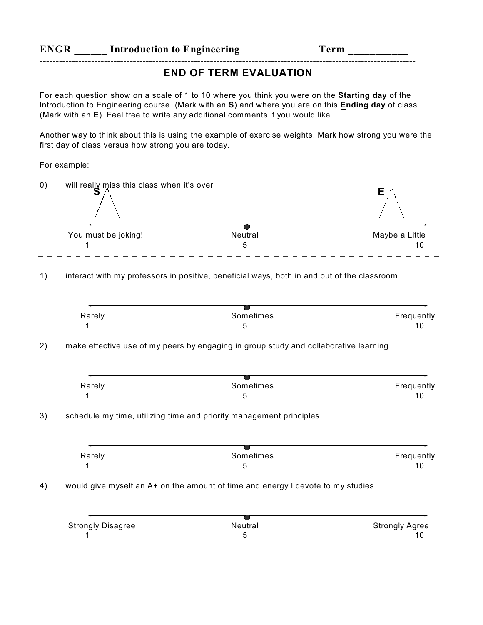## **ENGR Introduction to Engineering Term** \_\_\_\_\_\_\_\_

## **END OF TERM EVALUATION**

For each question show on a scale of 1 to 10 where you think you were on the **Starting day** of the Introduction to Engineering course. (Mark with an **S**) and where you are on this **Ending day** of class (Mark with an **E**). Feel free to write any additional comments if you would like.

---------------------------------------------------------------------------------------------------------------------

Another way to think about this is using the example of exercise weights. Mark how strong you were the first day of class versus how strong you are today.

For example:

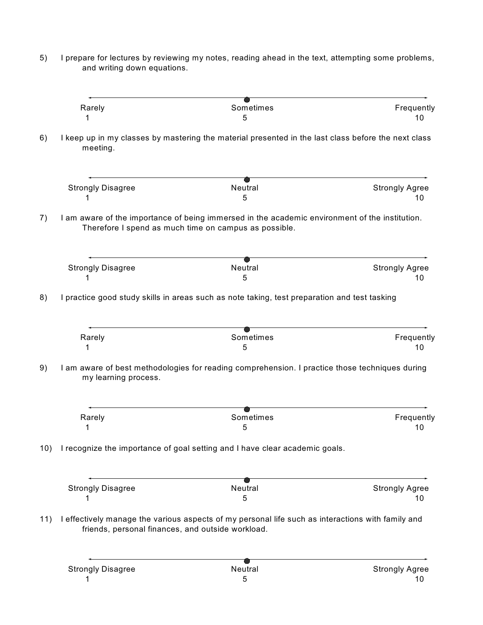5) I prepare for lectures by reviewing my notes, reading ahead in the text, attempting some problems, and writing down equations.